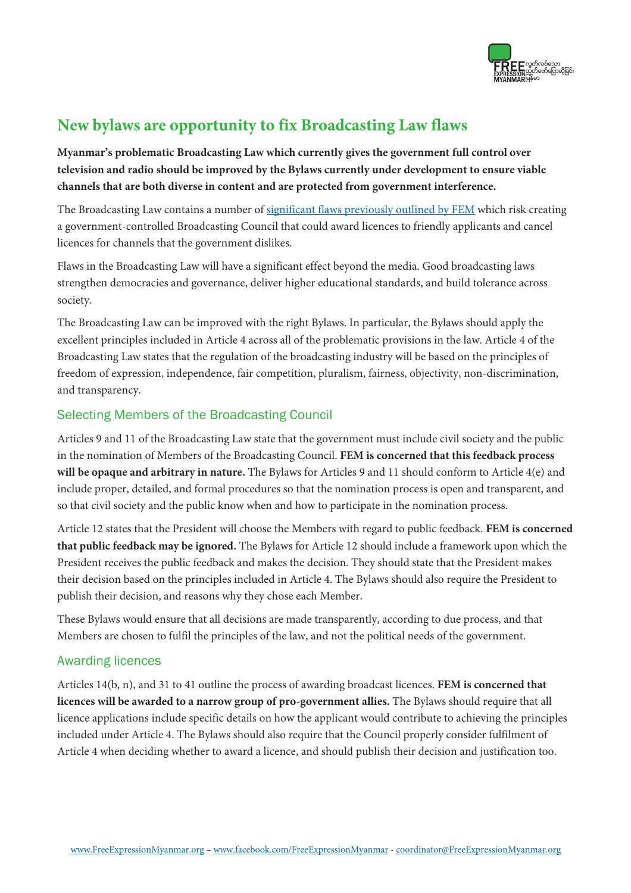

# **New bylaws are opportunity to fix Broadcasting Law flaws**

**Myanmar's problematic Broadcasting Law which currently gives the government full control over television and radio should be improved by the Bylaws currently under development to ensure viable channels that are both diverse in content and are protected from government interference.**

The Broadcasting Law contains a number of significant flaws previously outlined by FEM which risk creating a government-controlled Broadcasting Council that could award licences to friendly applicants and cancel licences for channels that the government dislikes.

Flaws in the Broadcasting Law will have a significant effect beyond the media. Good broadcasting laws strengthen democracies and governance, deliver higher educational standards, and build tolerance across society.

The Broadcasting Law can be improved with the right Bylaws. In particular, the Bylaws should apply the excellent principles included in Article 4 across all of the problematic provisions in the law. Article 4 of the Broadcasting Law states that the regulation of the broadcasting industry will be based on the principles of freedom of expression, independence, fair competition, pluralism, fairness, objectivity, non-discrimination, and transparency.

## Selecting Members of the Broadcasting Council

Articles 9 and 11 of the Broadcasting Law state that the government must include civil society and the public in the nomination of Members of the Broadcasting Council. **FEM is concerned that this feedback process will be opaque and arbitrary in nature.** The Bylaws for Articles 9 and 11 should conform to Article 4(e) and include proper, detailed, and formal procedures so that the nomination process is open and transparent, and so that civil society and the public know when and how to participate in the nomination process.

Article 12 states that the President will choose the Members with regard to public feedback. **FEM is concerned that public feedback may be ignored.** The Bylaws for Article 12 should include a framework upon which the President receives the public feedback and makes the decision. They should state that the President makes their decision based on the principles included in Article 4. The Bylaws should also require the President to publish their decision, and reasons why they chose each Member.

These Bylaws would ensure that all decisions are made transparently, according to due process, and that Members are chosen to fulfil the principles of the law, and not the political needs of the government.

## Awarding licences

Articles 14(b, n), and 31 to 41 outline the process of awarding broadcast licences. **FEM is concerned that licences will be awarded to a narrow group of pro-government allies.** The Bylaws should require that all licence applications include specific details on how the applicant would contribute to achieving the principles included under Article 4. The Bylaws should also require that the Council properly consider fulfilment of Article 4 when deciding whether to award a licence, and should publish their decision and justification too.